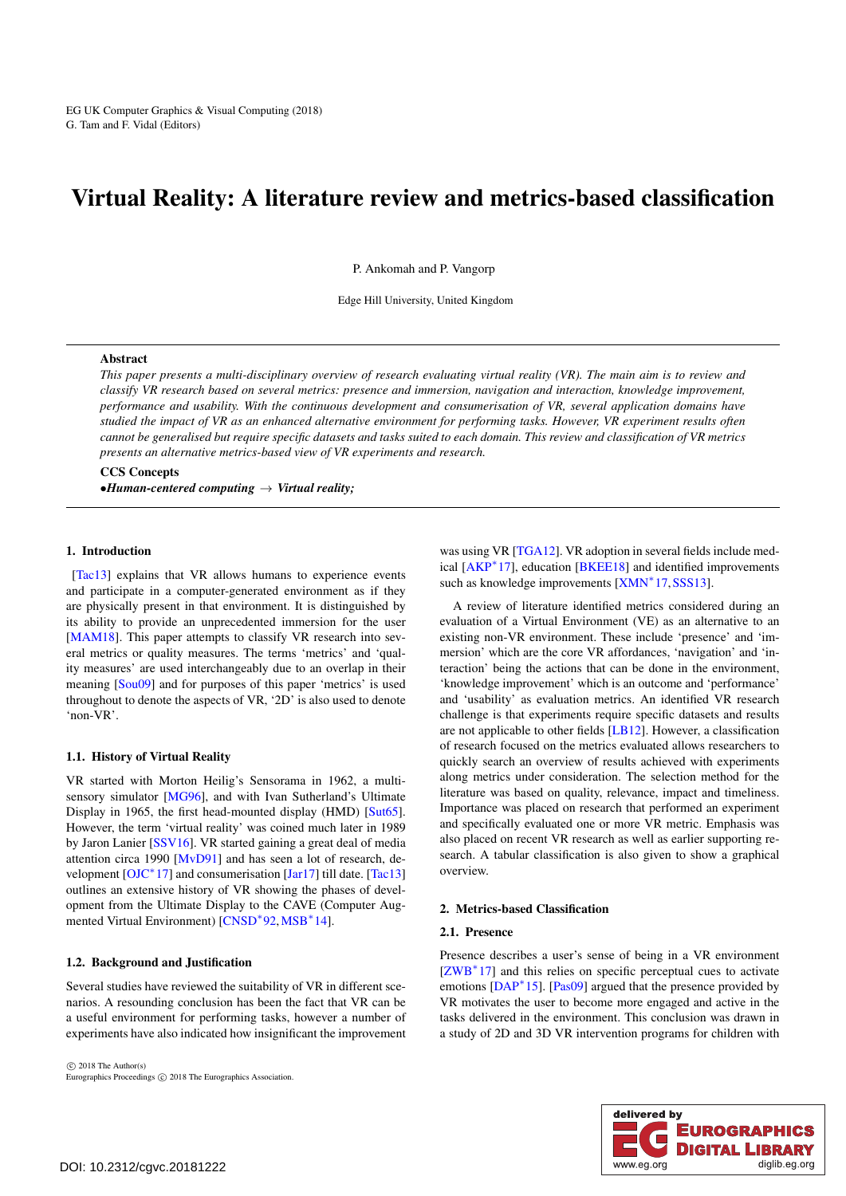# <span id="page-0-0"></span>Virtual Reality: A literature review and metrics-based classification

P. Ankomah and P. Vangorp

Edge Hill University, United Kingdom

#### Abstract

*This paper presents a multi-disciplinary overview of research evaluating virtual reality (VR). The main aim is to review and classify VR research based on several metrics: presence and immersion, navigation and interaction, knowledge improvement, performance and usability. With the continuous development and consumerisation of VR, several application domains have studied the impact of VR as an enhanced alternative environment for performing tasks. However, VR experiment results often cannot be generalised but require specific datasets and tasks suited to each domain. This review and classification of VR metrics presents an alternative metrics-based view of VR experiments and research.*

CCS Concepts •*Human-centered computing* → *Virtual reality;*

# 1. Introduction

[\[Tac13\]](#page-8-0) explains that VR allows humans to experience events and participate in a computer-generated environment as if they are physically present in that environment. It is distinguished by its ability to provide an unprecedented immersion for the user [\[MAM18\]](#page-7-0). This paper attempts to classify VR research into several metrics or quality measures. The terms 'metrics' and 'quality measures' are used interchangeably due to an overlap in their meaning [\[Sou09\]](#page-8-1) and for purposes of this paper 'metrics' is used throughout to denote the aspects of VR, '2D' is also used to denote 'non-VR'.

## 1.1. History of Virtual Reality

VR started with Morton Heilig's Sensorama in 1962, a multi-sensory simulator [\[MG96\]](#page-7-1), and with Ivan Sutherland's Ultimate Display in 1965, the first head-mounted display (HMD) [\[Sut65\]](#page-8-2). However, the term 'virtual reality' was coined much later in 1989 by Jaron Lanier [\[SSV16\]](#page-8-3). VR started gaining a great deal of media attention circa 1990 [\[MvD91\]](#page-7-2) and has seen a lot of research, de-velopment [\[OJC](#page-7-3)<sup>\*</sup>17] and consumerisation [\[Jar17\]](#page-7-4) till date. [\[Tac13\]](#page-8-0) outlines an extensive history of VR showing the phases of development from the Ultimate Display to the CAVE (Computer Aug-mented Virtual Environment) [\[CNSD](#page-6-0)<sup>\*92</sup>, [MSB](#page-7-5)<sup>\*</sup>14].

## 1.2. Background and Justification

Several studies have reviewed the suitability of VR in different scenarios. A resounding conclusion has been the fact that VR can be a useful environment for performing tasks, however a number of experiments have also indicated how insignificant the improvement

 $\circ$  2018 The Author(s) Eurographics Proceedings  $\odot$  2018 The Eurographics Association. was using VR [\[TGA12\]](#page-8-4). VR adoption in several fields include medical [\[AKP](#page-6-1)<sup>∗</sup> 17], education [\[BKEE18\]](#page-6-2) and identified improvements such as knowledge improvements [\[XMN](#page-8-5)<sup>\*</sup>17, SSS13].

A review of literature identified metrics considered during an evaluation of a Virtual Environment (VE) as an alternative to an existing non-VR environment. These include 'presence' and 'immersion' which are the core VR affordances, 'navigation' and 'interaction' being the actions that can be done in the environment, 'knowledge improvement' which is an outcome and 'performance' and 'usability' as evaluation metrics. An identified VR research challenge is that experiments require specific datasets and results are not applicable to other fields [\[LB12\]](#page-7-6). However, a classification of research focused on the metrics evaluated allows researchers to quickly search an overview of results achieved with experiments along metrics under consideration. The selection method for the literature was based on quality, relevance, impact and timeliness. Importance was placed on research that performed an experiment and specifically evaluated one or more VR metric. Emphasis was also placed on recent VR research as well as earlier supporting research. A tabular classification is also given to show a graphical overview.

## 2. Metrics-based Classification

#### 2.1. Presence

Presence describes a user's sense of being in a VR environment [\[ZWB](#page-8-7)<sup>\*</sup>17] and this relies on specific perceptual cues to activate emotions [\[DAP](#page-6-3)<sup>\*</sup>15]. [\[Pas09\]](#page-7-7) argued that the presence provided by VR motivates the user to become more engaged and active in the tasks delivered in the environment. This conclusion was drawn in a study of 2D and 3D VR intervention programs for children with

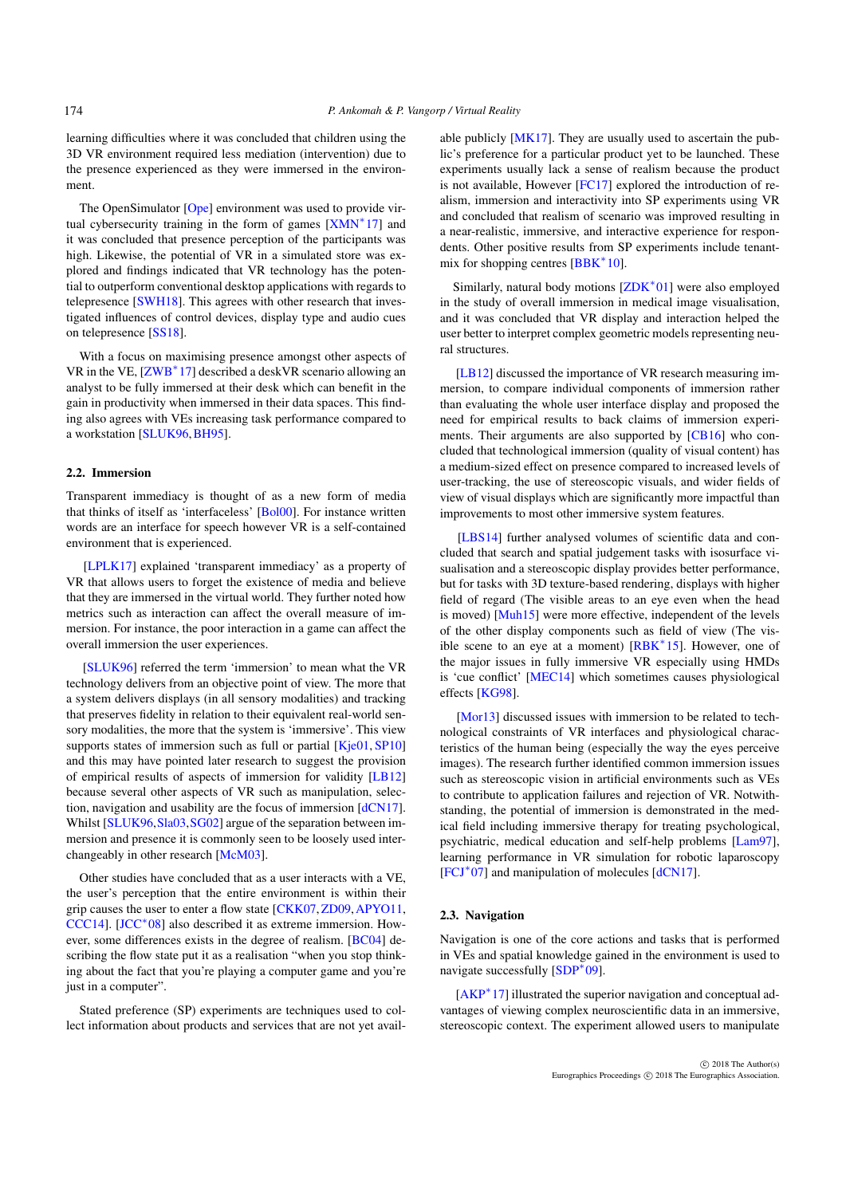<span id="page-1-0"></span>learning difficulties where it was concluded that children using the 3D VR environment required less mediation (intervention) due to the presence experienced as they were immersed in the environment.

The OpenSimulator [\[Ope\]](#page-7-8) environment was used to provide vir-tual cybersecurity training in the form of games [\[XMN](#page-8-5)<sup>\*</sup>17] and it was concluded that presence perception of the participants was high. Likewise, the potential of VR in a simulated store was explored and findings indicated that VR technology has the potential to outperform conventional desktop applications with regards to telepresence [\[SWH18\]](#page-8-8). This agrees with other research that investigated influences of control devices, display type and audio cues on telepresence [\[SS18\]](#page-8-9).

With a focus on maximising presence amongst other aspects of VR in the VE, [\[ZWB](#page-8-7)<sup>\*</sup>17] described a deskVR scenario allowing an analyst to be fully immersed at their desk which can benefit in the gain in productivity when immersed in their data spaces. This finding also agrees with VEs increasing task performance compared to a workstation [\[SLUK96,](#page-8-10)[BH95\]](#page-6-4).

## 2.2. Immersion

Transparent immediacy is thought of as a new form of media that thinks of itself as 'interfaceless' [\[Bol00\]](#page-6-5). For instance written words are an interface for speech however VR is a self-contained environment that is experienced.

[\[LPLK17\]](#page-7-9) explained 'transparent immediacy' as a property of VR that allows users to forget the existence of media and believe that they are immersed in the virtual world. They further noted how metrics such as interaction can affect the overall measure of immersion. For instance, the poor interaction in a game can affect the overall immersion the user experiences.

[\[SLUK96\]](#page-8-10) referred the term 'immersion' to mean what the VR technology delivers from an objective point of view. The more that a system delivers displays (in all sensory modalities) and tracking that preserves fidelity in relation to their equivalent real-world sensory modalities, the more that the system is 'immersive'. This view supports states of immersion such as full or partial [\[Kje01,](#page-7-10) [SP10\]](#page-8-11) and this may have pointed later research to suggest the provision of empirical results of aspects of immersion for validity [\[LB12\]](#page-7-6) because several other aspects of VR such as manipulation, selection, navigation and usability are the focus of immersion [\[dCN17\]](#page-6-6). Whilst [\[SLUK96,](#page-8-10) [Sla03,](#page-8-12) [SG02\]](#page-8-13) argue of the separation between immersion and presence it is commonly seen to be loosely used interchangeably in other research [\[McM03\]](#page-7-11).

Other studies have concluded that as a user interacts with a VE, the user's perception that the entire environment is within their grip causes the user to enter a flow state [\[CKK07,](#page-6-7)[ZD09,](#page-8-14)[APYO11,](#page-6-8) [CCC14\]](#page-6-9). [\[JCC](#page-7-12)<sup>∗</sup> 08] also described it as extreme immersion. However, some differences exists in the degree of realism. [\[BC04\]](#page-6-10) describing the flow state put it as a realisation "when you stop thinking about the fact that you're playing a computer game and you're just in a computer".

Stated preference (SP) experiments are techniques used to collect information about products and services that are not yet available publicly [\[MK17\]](#page-7-13). They are usually used to ascertain the public's preference for a particular product yet to be launched. These experiments usually lack a sense of realism because the product is not available, However [\[FC17\]](#page-7-14) explored the introduction of realism, immersion and interactivity into SP experiments using VR and concluded that realism of scenario was improved resulting in a near-realistic, immersive, and interactive experience for respondents. Other positive results from SP experiments include tenant-mix for shopping centres [\[BBK](#page-6-11)<sup>\*</sup>10].

Similarly, natural body motions [\[ZDK](#page-8-15)<sup>∗</sup> 01] were also employed in the study of overall immersion in medical image visualisation, and it was concluded that VR display and interaction helped the user better to interpret complex geometric models representing neural structures.

[\[LB12\]](#page-7-6) discussed the importance of VR research measuring immersion, to compare individual components of immersion rather than evaluating the whole user interface display and proposed the need for empirical results to back claims of immersion experiments. Their arguments are also supported by [\[CB16\]](#page-6-12) who concluded that technological immersion (quality of visual content) has a medium-sized effect on presence compared to increased levels of user-tracking, the use of stereoscopic visuals, and wider fields of view of visual displays which are significantly more impactful than improvements to most other immersive system features.

[\[LBS14\]](#page-7-15) further analysed volumes of scientific data and concluded that search and spatial judgement tasks with isosurface visualisation and a stereoscopic display provides better performance, but for tasks with 3D texture-based rendering, displays with higher field of regard (The visible areas to an eye even when the head is moved) [\[Muh15\]](#page-7-16) were more effective, independent of the levels of the other display components such as field of view (The visible scene to an eye at a moment) [\[RBK](#page-8-16)<sup>∗</sup> 15]. However, one of the major issues in fully immersive VR especially using HMDs is 'cue conflict' [\[MEC14\]](#page-7-17) which sometimes causes physiological effects [\[KG98\]](#page-7-18).

[\[Mor13\]](#page-7-19) discussed issues with immersion to be related to technological constraints of VR interfaces and physiological characteristics of the human being (especially the way the eyes perceive images). The research further identified common immersion issues such as stereoscopic vision in artificial environments such as VEs to contribute to application failures and rejection of VR. Notwithstanding, the potential of immersion is demonstrated in the medical field including immersive therapy for treating psychological, psychiatric, medical education and self-help problems [\[Lam97\]](#page-7-20), learning performance in VR simulation for robotic laparoscopy [\[FCJ](#page-7-21)<sup>\*</sup>07] and manipulation of molecules [\[dCN17\]](#page-6-6).

#### 2.3. Navigation

Navigation is one of the core actions and tasks that is performed in VEs and spatial knowledge gained in the environment is used to navigate successfully [\[SDP](#page-8-17)<sup>\*</sup>09].

[\[AKP](#page-6-1)<sup>∗</sup> 17] illustrated the superior navigation and conceptual advantages of viewing complex neuroscientific data in an immersive, stereoscopic context. The experiment allowed users to manipulate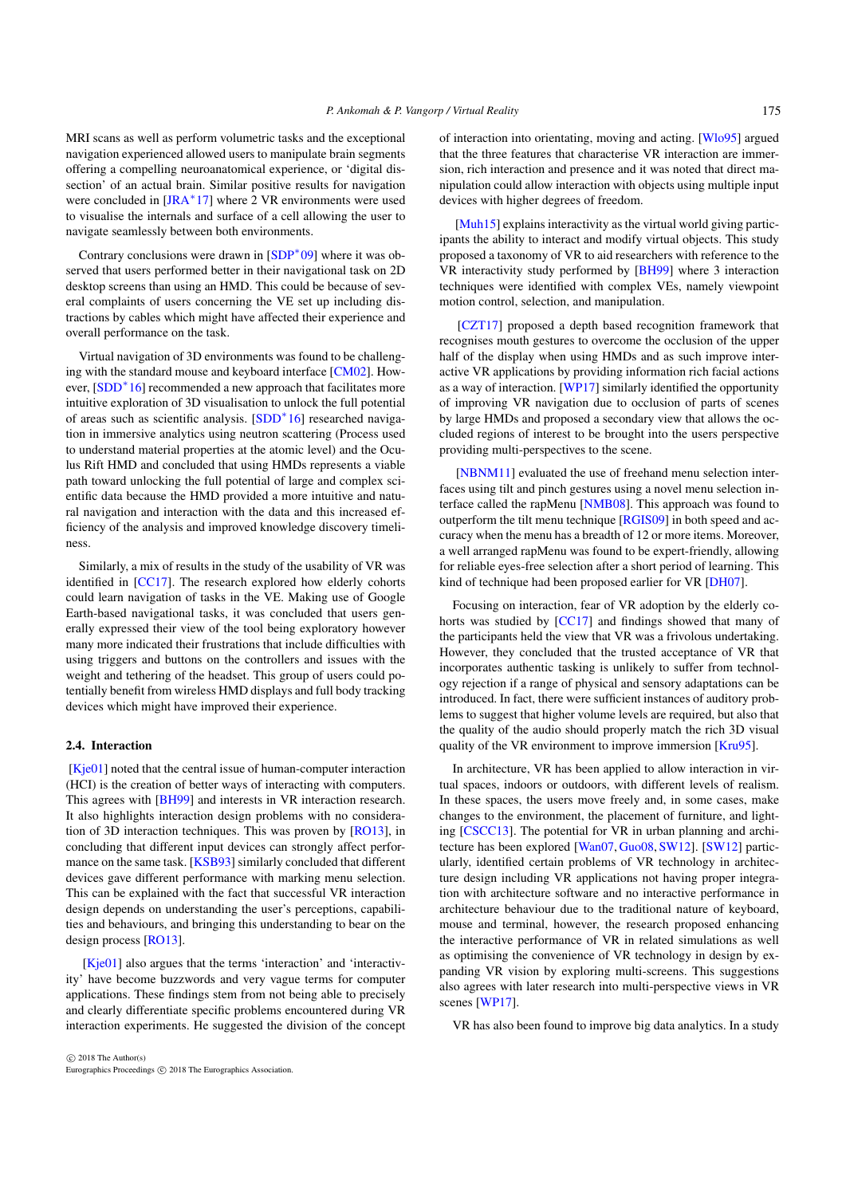<span id="page-2-0"></span>MRI scans as well as perform volumetric tasks and the exceptional navigation experienced allowed users to manipulate brain segments offering a compelling neuroanatomical experience, or 'digital dissection' of an actual brain. Similar positive results for navigation were concluded in [\[JRA](#page-7-22)<sup>\*</sup>17] where 2 VR environments were used to visualise the internals and surface of a cell allowing the user to navigate seamlessly between both environments.

Contrary conclusions were drawn in [\[SDP](#page-8-17)<sup>∗</sup> 09] where it was observed that users performed better in their navigational task on 2D desktop screens than using an HMD. This could be because of several complaints of users concerning the VE set up including distractions by cables which might have affected their experience and overall performance on the task.

Virtual navigation of 3D environments was found to be challenging with the standard mouse and keyboard interface [\[CM02\]](#page-6-13). How-ever, [\[SDD](#page-8-18)<sup>\*</sup>16] recommended a new approach that facilitates more intuitive exploration of 3D visualisation to unlock the full potential of areas such as scientific analysis. [\[SDD](#page-8-18)<sup>∗</sup> 16] researched navigation in immersive analytics using neutron scattering (Process used to understand material properties at the atomic level) and the Oculus Rift HMD and concluded that using HMDs represents a viable path toward unlocking the full potential of large and complex scientific data because the HMD provided a more intuitive and natural navigation and interaction with the data and this increased efficiency of the analysis and improved knowledge discovery timeliness.

Similarly, a mix of results in the study of the usability of VR was identified in [\[CC17\]](#page-6-14). The research explored how elderly cohorts could learn navigation of tasks in the VE. Making use of Google Earth-based navigational tasks, it was concluded that users generally expressed their view of the tool being exploratory however many more indicated their frustrations that include difficulties with using triggers and buttons on the controllers and issues with the weight and tethering of the headset. This group of users could potentially benefit from wireless HMD displays and full body tracking devices which might have improved their experience.

# 2.4. Interaction

[\[Kje01\]](#page-7-10) noted that the central issue of human-computer interaction (HCI) is the creation of better ways of interacting with computers. This agrees with [\[BH99\]](#page-6-15) and interests in VR interaction research. It also highlights interaction design problems with no consideration of 3D interaction techniques. This was proven by [\[RO13\]](#page-8-19), in concluding that different input devices can strongly affect performance on the same task. [\[KSB93\]](#page-7-23) similarly concluded that different devices gave different performance with marking menu selection. This can be explained with the fact that successful VR interaction design depends on understanding the user's perceptions, capabilities and behaviours, and bringing this understanding to bear on the design process [\[RO13\]](#page-8-19).

[\[Kje01\]](#page-7-10) also argues that the terms 'interaction' and 'interactivity' have become buzzwords and very vague terms for computer applications. These findings stem from not being able to precisely and clearly differentiate specific problems encountered during VR interaction experiments. He suggested the division of the concept

 $\odot$  2018 The Author(s) Eurographics Proceedings (c) 2018 The Eurographics Association. of interaction into orientating, moving and acting. [\[Wlo95\]](#page-8-20) argued that the three features that characterise VR interaction are immersion, rich interaction and presence and it was noted that direct manipulation could allow interaction with objects using multiple input devices with higher degrees of freedom.

[\[Muh15\]](#page-7-16) explains interactivity as the virtual world giving participants the ability to interact and modify virtual objects. This study proposed a taxonomy of VR to aid researchers with reference to the VR interactivity study performed by [\[BH99\]](#page-6-15) where 3 interaction techniques were identified with complex VEs, namely viewpoint motion control, selection, and manipulation.

[\[CZT17\]](#page-6-16) proposed a depth based recognition framework that recognises mouth gestures to overcome the occlusion of the upper half of the display when using HMDs and as such improve interactive VR applications by providing information rich facial actions as a way of interaction. [\[WP17\]](#page-8-21) similarly identified the opportunity of improving VR navigation due to occlusion of parts of scenes by large HMDs and proposed a secondary view that allows the occluded regions of interest to be brought into the users perspective providing multi-perspectives to the scene.

[\[NBNM11\]](#page-7-24) evaluated the use of freehand menu selection interfaces using tilt and pinch gestures using a novel menu selection interface called the rapMenu [\[NMB08\]](#page-7-25). This approach was found to outperform the tilt menu technique [\[RGIS09\]](#page-8-22) in both speed and accuracy when the menu has a breadth of 12 or more items. Moreover, a well arranged rapMenu was found to be expert-friendly, allowing for reliable eyes-free selection after a short period of learning. This kind of technique had been proposed earlier for VR [\[DH07\]](#page-6-17).

Focusing on interaction, fear of VR adoption by the elderly cohorts was studied by [\[CC17\]](#page-6-14) and findings showed that many of the participants held the view that VR was a frivolous undertaking. However, they concluded that the trusted acceptance of VR that incorporates authentic tasking is unlikely to suffer from technology rejection if a range of physical and sensory adaptations can be introduced. In fact, there were sufficient instances of auditory problems to suggest that higher volume levels are required, but also that the quality of the audio should properly match the rich 3D visual quality of the VR environment to improve immersion [\[Kru95\]](#page-7-26).

In architecture, VR has been applied to allow interaction in virtual spaces, indoors or outdoors, with different levels of realism. In these spaces, the users move freely and, in some cases, make changes to the environment, the placement of furniture, and lighting [\[CSCC13\]](#page-6-18). The potential for VR in urban planning and architecture has been explored [\[Wan07,](#page-8-23) [Guo08,](#page-7-27) [SW12\]](#page-8-24). [\[SW12\]](#page-8-24) particularly, identified certain problems of VR technology in architecture design including VR applications not having proper integration with architecture software and no interactive performance in architecture behaviour due to the traditional nature of keyboard, mouse and terminal, however, the research proposed enhancing the interactive performance of VR in related simulations as well as optimising the convenience of VR technology in design by expanding VR vision by exploring multi-screens. This suggestions also agrees with later research into multi-perspective views in VR scenes [\[WP17\]](#page-8-21).

VR has also been found to improve big data analytics. In a study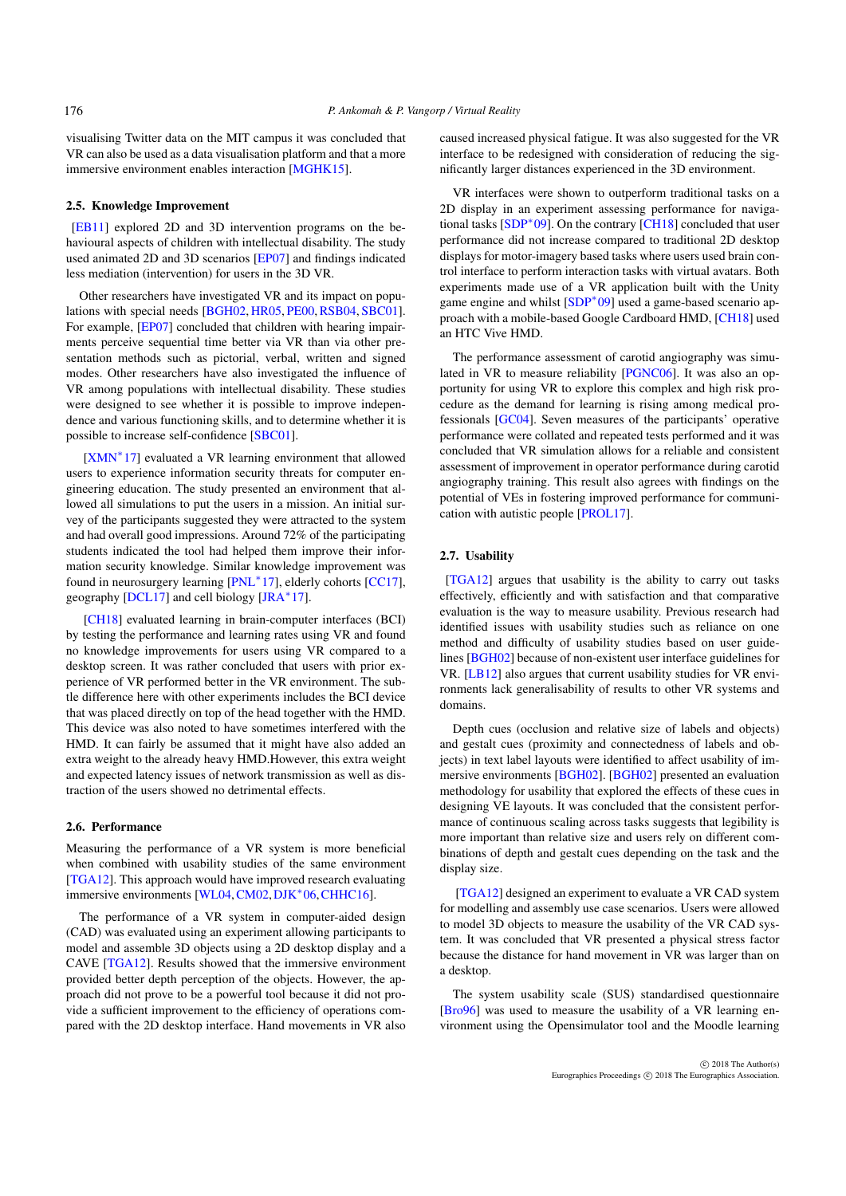<span id="page-3-0"></span>visualising Twitter data on the MIT campus it was concluded that VR can also be used as a data visualisation platform and that a more immersive environment enables interaction [\[MGHK15\]](#page-7-28).

## 2.5. Knowledge Improvement

[\[EB11\]](#page-6-19) explored 2D and 3D intervention programs on the behavioural aspects of children with intellectual disability. The study used animated 2D and 3D scenarios [\[EP07\]](#page-6-20) and findings indicated less mediation (intervention) for users in the 3D VR.

Other researchers have investigated VR and its impact on popu-lations with special needs [\[BGH02,](#page-6-21) [HR05,](#page-7-29) [PE00,](#page-7-30) [RSB04,](#page-8-25) [SBC01\]](#page-8-26). For example, [\[EP07\]](#page-6-20) concluded that children with hearing impairments perceive sequential time better via VR than via other presentation methods such as pictorial, verbal, written and signed modes. Other researchers have also investigated the influence of VR among populations with intellectual disability. These studies were designed to see whether it is possible to improve independence and various functioning skills, and to determine whether it is possible to increase self-confidence [\[SBC01\]](#page-8-26).

[\[XMN](#page-8-5)<sup>\*</sup>17] evaluated a VR learning environment that allowed users to experience information security threats for computer engineering education. The study presented an environment that allowed all simulations to put the users in a mission. An initial survey of the participants suggested they were attracted to the system and had overall good impressions. Around 72% of the participating students indicated the tool had helped them improve their information security knowledge. Similar knowledge improvement was found in neurosurgery learning [\[PNL](#page-8-27)<sup>\*</sup>17], elderly cohorts [\[CC17\]](#page-6-14), geography [\[DCL17\]](#page-6-22) and cell biology [\[JRA](#page-7-22)<sup>\*</sup>17].

[\[CH18\]](#page-6-23) evaluated learning in brain-computer interfaces (BCI) by testing the performance and learning rates using VR and found no knowledge improvements for users using VR compared to a desktop screen. It was rather concluded that users with prior experience of VR performed better in the VR environment. The subtle difference here with other experiments includes the BCI device that was placed directly on top of the head together with the HMD. This device was also noted to have sometimes interfered with the HMD. It can fairly be assumed that it might have also added an extra weight to the already heavy HMD.However, this extra weight and expected latency issues of network transmission as well as distraction of the users showed no detrimental effects.

### 2.6. Performance

Measuring the performance of a VR system is more beneficial when combined with usability studies of the same environment [\[TGA12\]](#page-8-4). This approach would have improved research evaluating immersive environments [\[WL04,](#page-8-28)[CM02,](#page-6-13)[DJK](#page-6-24)<sup>∗</sup> 06,[CHHC16\]](#page-6-25).

The performance of a VR system in computer-aided design (CAD) was evaluated using an experiment allowing participants to model and assemble 3D objects using a 2D desktop display and a CAVE [\[TGA12\]](#page-8-4). Results showed that the immersive environment provided better depth perception of the objects. However, the approach did not prove to be a powerful tool because it did not provide a sufficient improvement to the efficiency of operations compared with the 2D desktop interface. Hand movements in VR also

caused increased physical fatigue. It was also suggested for the VR interface to be redesigned with consideration of reducing the significantly larger distances experienced in the 3D environment.

VR interfaces were shown to outperform traditional tasks on a 2D display in an experiment assessing performance for navigational tasks [\[SDP](#page-8-17)<sup>∗</sup> 09]. On the contrary [\[CH18\]](#page-6-23) concluded that user performance did not increase compared to traditional 2D desktop displays for motor-imagery based tasks where users used brain control interface to perform interaction tasks with virtual avatars. Both experiments made use of a VR application built with the Unity game engine and whilst [\[SDP](#page-8-17)<sup>∗</sup>09] used a game-based scenario approach with a mobile-based Google Cardboard HMD, [\[CH18\]](#page-6-23) used an HTC Vive HMD.

The performance assessment of carotid angiography was simulated in VR to measure reliability [\[PGNC06\]](#page-7-31). It was also an opportunity for using VR to explore this complex and high risk procedure as the demand for learning is rising among medical professionals [\[GC04\]](#page-7-32). Seven measures of the participants' operative performance were collated and repeated tests performed and it was concluded that VR simulation allows for a reliable and consistent assessment of improvement in operator performance during carotid angiography training. This result also agrees with findings on the potential of VEs in fostering improved performance for communication with autistic people [\[PROL17\]](#page-8-29).

### 2.7. Usability

[\[TGA12\]](#page-8-4) argues that usability is the ability to carry out tasks effectively, efficiently and with satisfaction and that comparative evaluation is the way to measure usability. Previous research had identified issues with usability studies such as reliance on one method and difficulty of usability studies based on user guidelines [\[BGH02\]](#page-6-21) because of non-existent user interface guidelines for VR. [\[LB12\]](#page-7-6) also argues that current usability studies for VR environments lack generalisability of results to other VR systems and domains.

Depth cues (occlusion and relative size of labels and objects) and gestalt cues (proximity and connectedness of labels and objects) in text label layouts were identified to affect usability of immersive environments [\[BGH02\]](#page-6-21). [\[BGH02\]](#page-6-21) presented an evaluation methodology for usability that explored the effects of these cues in designing VE layouts. It was concluded that the consistent performance of continuous scaling across tasks suggests that legibility is more important than relative size and users rely on different combinations of depth and gestalt cues depending on the task and the display size.

[\[TGA12\]](#page-8-4) designed an experiment to evaluate a VR CAD system for modelling and assembly use case scenarios. Users were allowed to model 3D objects to measure the usability of the VR CAD system. It was concluded that VR presented a physical stress factor because the distance for hand movement in VR was larger than on a desktop.

The system usability scale (SUS) standardised questionnaire [\[Bro96\]](#page-6-26) was used to measure the usability of a VR learning environment using the Opensimulator tool and the Moodle learning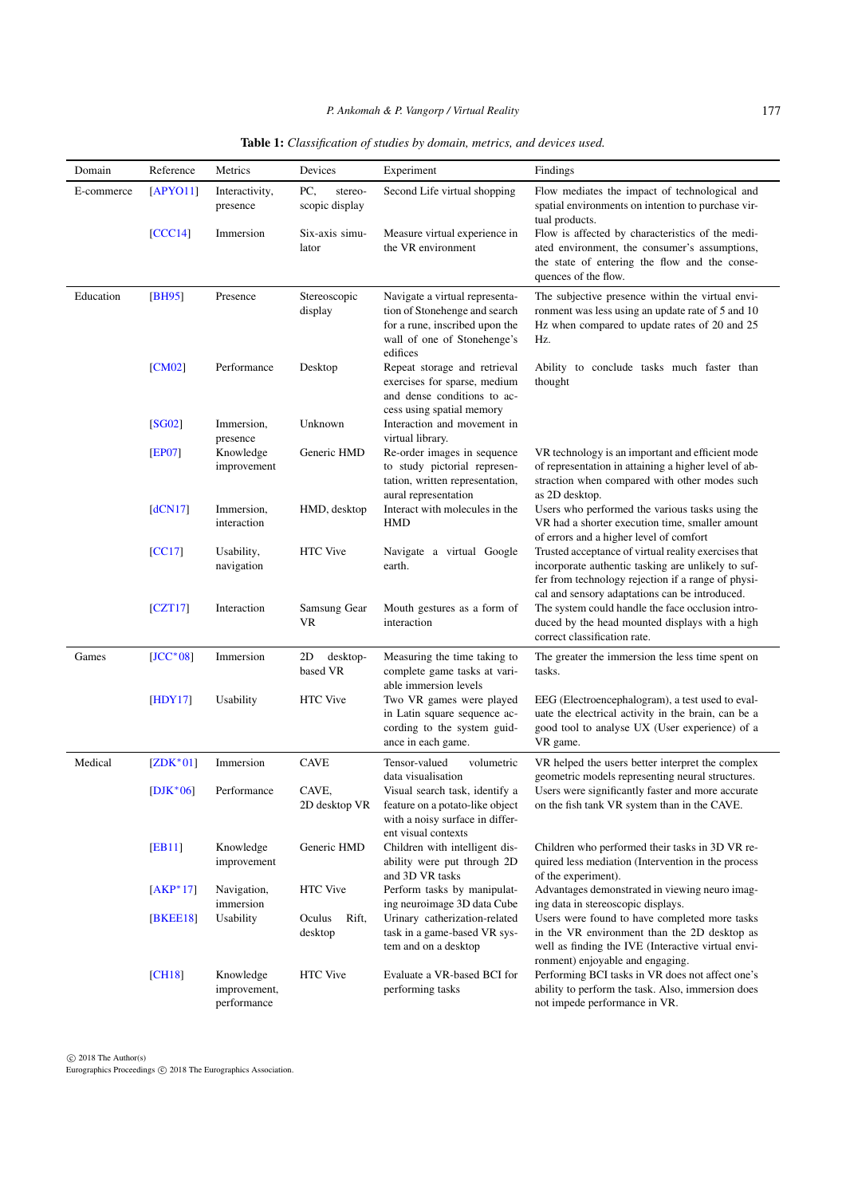# *P. Ankomah & P. Vangorp / Virtual Reality*

<span id="page-4-0"></span>

| Domain     | Reference     | Metrics                    | Devices                          | Experiment                                                                                                                                   | Findings                                                                                                                                                                                                           |
|------------|---------------|----------------------------|----------------------------------|----------------------------------------------------------------------------------------------------------------------------------------------|--------------------------------------------------------------------------------------------------------------------------------------------------------------------------------------------------------------------|
| E-commerce | [APYO11]      | Interactivity,<br>presence | PC,<br>stereo-<br>scopic display | Second Life virtual shopping                                                                                                                 | Flow mediates the impact of technological and<br>spatial environments on intention to purchase vir-<br>tual products.                                                                                              |
|            | [CCC14]       | Immersion                  | Six-axis simu-<br>lator          | Measure virtual experience in<br>the VR environment                                                                                          | Flow is affected by characteristics of the medi-<br>ated environment, the consumer's assumptions,<br>the state of entering the flow and the conse-<br>quences of the flow.                                         |
| Education  | [BH95]        | Presence                   | Stereoscopic<br>display          | Navigate a virtual representa-<br>tion of Stonehenge and search<br>for a rune, inscribed upon the<br>wall of one of Stonehenge's<br>edifices | The subjective presence within the virtual envi-<br>ronment was less using an update rate of 5 and 10<br>Hz when compared to update rates of 20 and 25<br>Hz.                                                      |
|            | [CM02]        | Performance                | Desktop                          | Repeat storage and retrieval<br>exercises for sparse, medium<br>and dense conditions to ac-<br>cess using spatial memory                     | Ability to conclude tasks much faster than<br>thought                                                                                                                                                              |
|            | [SG02]        | Immersion,<br>presence     | Unknown                          | Interaction and movement in<br>virtual library.                                                                                              |                                                                                                                                                                                                                    |
|            | [EP07]        | Knowledge<br>improvement   | Generic HMD                      | Re-order images in sequence<br>to study pictorial represen-<br>tation, written representation,<br>aural representation                       | VR technology is an important and efficient mode<br>of representation in attaining a higher level of ab-<br>straction when compared with other modes such<br>as 2D desktop.                                        |
|            | [dCN17]       | Immersion,<br>interaction  | HMD, desktop                     | Interact with molecules in the<br><b>HMD</b>                                                                                                 | Users who performed the various tasks using the<br>VR had a shorter execution time, smaller amount<br>of errors and a higher level of comfort                                                                      |
|            | [CC17]        | Usability,<br>navigation   | <b>HTC</b> Vive                  | Navigate a virtual Google<br>earth.                                                                                                          | Trusted acceptance of virtual reality exercises that<br>incorporate authentic tasking are unlikely to suf-<br>fer from technology rejection if a range of physi-<br>cal and sensory adaptations can be introduced. |
|            | [CZT17]       | Interaction                | Samsung Gear<br>VR               | Mouth gestures as a form of<br>interaction                                                                                                   | The system could handle the face occlusion intro-<br>duced by the head mounted displays with a high<br>correct classification rate.                                                                                |
| Games      | $[JCC^*08]$   | Immersion                  | 2D<br>desktop-<br>based VR       | Measuring the time taking to<br>complete game tasks at vari-<br>able immersion levels                                                        | The greater the immersion the less time spent on<br>tasks.                                                                                                                                                         |
|            | [HDY17]       | Usability                  | HTC Vive                         | Two VR games were played<br>in Latin square sequence ac-<br>cording to the system guid-<br>ance in each game.                                | EEG (Electroencephalogram), a test used to eval-<br>uate the electrical activity in the brain, can be a<br>good tool to analyse UX (User experience) of a<br>VR game.                                              |
| Medical    | $[ZDK*01]$    | Immersion                  | <b>CAVE</b>                      | Tensor-valued<br>volumetric<br>data visualisation                                                                                            | VR helped the users better interpret the complex<br>geometric models representing neural structures.                                                                                                               |
|            | $[DJK^*06]$   | Performance                | CAVE.<br>2D desktop VR           | Visual search task, identify a<br>feature on a potato-like object<br>with a noisy surface in differ-<br>ent visual contexts                  | Users were significantly faster and more accurate<br>on the fish tank VR system than in the CAVE.                                                                                                                  |
|            | [EB11]        | Knowledge<br>improvement   | Generic HMD                      | Children with intelligent dis-<br>ability were put through 2D<br>and 3D VR tasks                                                             | Children who performed their tasks in 3D VR re-<br>quired less mediation (Intervention in the process<br>of the experiment).                                                                                       |
|            | $[AKP^*17]$   | Navigation,<br>immersion   | HTC Vive                         | Perform tasks by manipulat-<br>ing neuroimage 3D data Cube                                                                                   | Advantages demonstrated in viewing neuro imag-<br>ing data in stereoscopic displays.                                                                                                                               |
|            | <b>BKEE18</b> | Usability                  | Oculus<br>Rift,<br>desktop       | Urinary catherization-related<br>task in a game-based VR sys-                                                                                | Users were found to have completed more tasks<br>in the VR environment than the 2D desktop as                                                                                                                      |

tem and on a desktop

HTC Vive Evaluate a VR-based BCI for performing tasks

well as finding the IVE (Interactive virtual envi-

Performing BCI tasks in VR does not affect one's ability to perform the task. Also, immersion does

ronment) enjoyable and engaging.

not impede performance in VR.

# Table 1: *Classification of studies by domain, metrics, and devices used.*

c 2018 The Author(s) Eurographics Proceedings c 2018 The Eurographics Association.

[\[CH18\]](#page-6-23) Knowledge

improvement, performance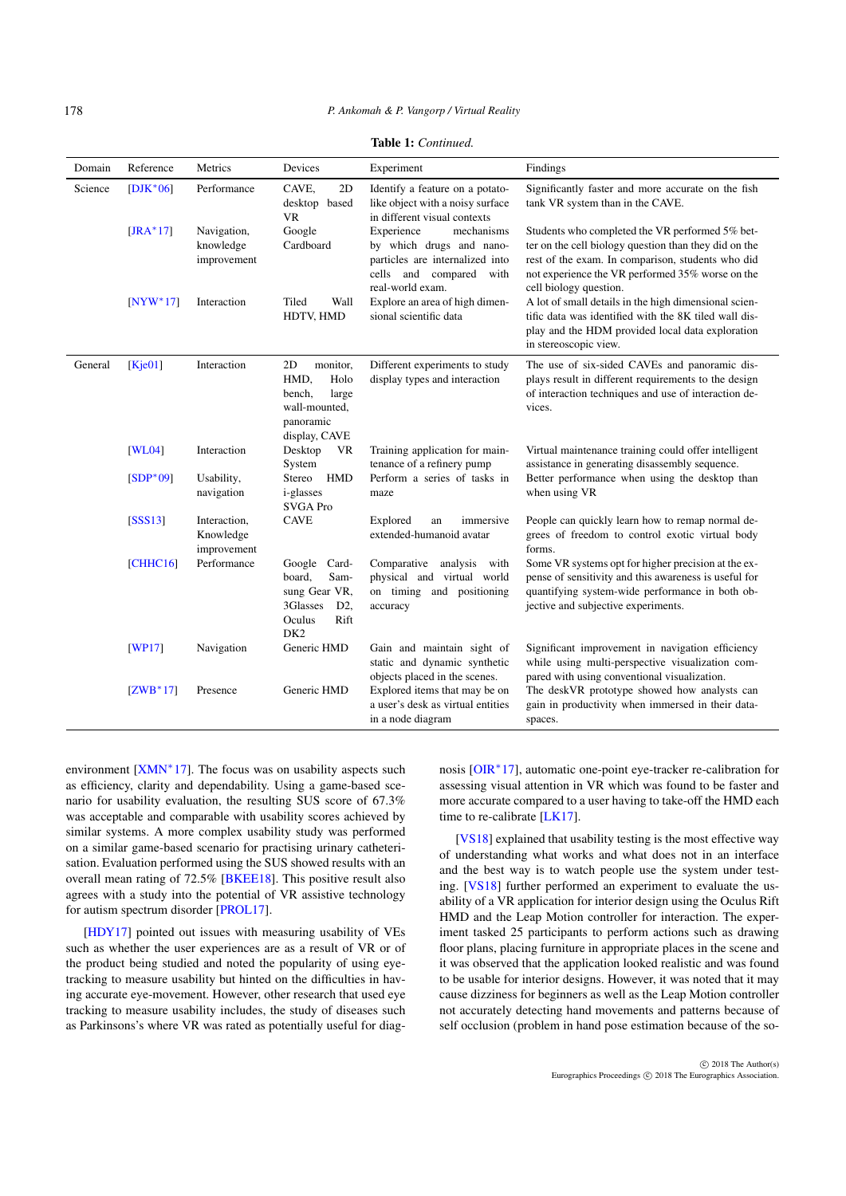#### *P. Ankomah & P. Vangorp / Virtual Reality*

| <b>Table 1:</b> Continued. |  |
|----------------------------|--|
|----------------------------|--|

<span id="page-5-0"></span>

| Domain  | Reference            | Metrics                                  | Devices                                                                                                | Experiment                                                                                                                                | Findings                                                                                                                                                                                                                                    |
|---------|----------------------|------------------------------------------|--------------------------------------------------------------------------------------------------------|-------------------------------------------------------------------------------------------------------------------------------------------|---------------------------------------------------------------------------------------------------------------------------------------------------------------------------------------------------------------------------------------------|
| Science | $[DIK*06]$           | Performance                              | CAVE,<br>2D<br>desktop based<br><b>VR</b>                                                              | Identify a feature on a potato-<br>like object with a noisy surface<br>in different visual contexts                                       | Significantly faster and more accurate on the fish<br>tank VR system than in the CAVE.                                                                                                                                                      |
|         | $[JRA*17]$           | Navigation,<br>knowledge<br>improvement  | Google<br>Cardboard                                                                                    | Experience<br>mechanisms<br>by which drugs and nano-<br>particles are internalized into<br>cells and compared<br>with<br>real-world exam. | Students who completed the VR performed 5% bet-<br>ter on the cell biology question than they did on the<br>rest of the exam. In comparison, students who did<br>not experience the VR performed 35% worse on the<br>cell biology question. |
|         | $[NYW*17]$           | Interaction                              | Tiled<br>Wall<br>HDTV, HMD                                                                             | Explore an area of high dimen-<br>sional scientific data                                                                                  | A lot of small details in the high dimensional scien-<br>tific data was identified with the 8K tiled wall dis-<br>play and the HDM provided local data exploration<br>in stereoscopic view.                                                 |
| General | [Kje01]              | Interaction                              | 2D<br>monitor,<br>HMD,<br>Holo<br>bench,<br>large<br>wall-mounted,<br>panoramic<br>display, CAVE       | Different experiments to study<br>display types and interaction                                                                           | The use of six-sided CAVEs and panoramic dis-<br>plays result in different requirements to the design<br>of interaction techniques and use of interaction de-<br>vices.                                                                     |
|         | [WL04]<br>$[SDP*09]$ | Interaction<br>Usability,                | Desktop<br>VR<br>System<br><b>HMD</b><br>Stereo                                                        | Training application for main-<br>tenance of a refinery pump<br>Perform a series of tasks in                                              | Virtual maintenance training could offer intelligent<br>assistance in generating disassembly sequence.<br>Better performance when using the desktop than                                                                                    |
|         |                      | navigation                               | <i>i</i> -glasses<br><b>SVGA Pro</b>                                                                   | maze                                                                                                                                      | when using VR                                                                                                                                                                                                                               |
|         | [SSS13]              | Interaction,<br>Knowledge<br>improvement | <b>CAVE</b>                                                                                            | Explored<br>immersive<br>an<br>extended-humanoid avatar                                                                                   | People can quickly learn how to remap normal de-<br>grees of freedom to control exotic virtual body<br>forms.                                                                                                                               |
|         | [CHHC16]             | Performance                              | Google Card-<br>board.<br>Sam-<br>sung Gear VR,<br>3Glasses<br>D2<br>Oculus<br>Rift<br>DK <sub>2</sub> | Comparative<br>analysis<br>with<br>physical and virtual world<br>on timing and positioning<br>accuracy                                    | Some VR systems opt for higher precision at the ex-<br>pense of sensitivity and this awareness is useful for<br>quantifying system-wide performance in both ob-<br>jective and subjective experiments.                                      |
|         | [WP17]               | Navigation                               | Generic HMD                                                                                            | Gain and maintain sight of<br>static and dynamic synthetic<br>objects placed in the scenes.                                               | Significant improvement in navigation efficiency<br>while using multi-perspective visualization com-<br>pared with using conventional visualization.                                                                                        |
|         | $[ZWB*17]$           | Presence                                 | Generic HMD                                                                                            | Explored items that may be on<br>a user's desk as virtual entities<br>in a node diagram                                                   | The deskVR prototype showed how analysts can<br>gain in productivity when immersed in their data-<br>spaces.                                                                                                                                |

environment [\[XMN](#page-8-5)<sup>\*</sup>17]. The focus was on usability aspects such as efficiency, clarity and dependability. Using a game-based scenario for usability evaluation, the resulting SUS score of 67.3% was acceptable and comparable with usability scores achieved by similar systems. A more complex usability study was performed on a similar game-based scenario for practising urinary catheterisation. Evaluation performed using the SUS showed results with an overall mean rating of 72.5% [\[BKEE18\]](#page-6-2). This positive result also agrees with a study into the potential of VR assistive technology for autism spectrum disorder [\[PROL17\]](#page-8-29).

[\[HDY17\]](#page-7-33) pointed out issues with measuring usability of VEs such as whether the user experiences are as a result of VR or of the product being studied and noted the popularity of using eyetracking to measure usability but hinted on the difficulties in having accurate eye-movement. However, other research that used eye tracking to measure usability includes, the study of diseases such as Parkinsons's where VR was rated as potentially useful for diag-

nosis [\[OIR](#page-7-35)<sup>\*</sup>17], automatic one-point eye-tracker re-calibration for assessing visual attention in VR which was found to be faster and more accurate compared to a user having to take-off the HMD each time to re-calibrate [\[LK17\]](#page-7-36).

[\[VS18\]](#page-8-30) explained that usability testing is the most effective way of understanding what works and what does not in an interface and the best way is to watch people use the system under testing. [\[VS18\]](#page-8-30) further performed an experiment to evaluate the usability of a VR application for interior design using the Oculus Rift HMD and the Leap Motion controller for interaction. The experiment tasked 25 participants to perform actions such as drawing floor plans, placing furniture in appropriate places in the scene and it was observed that the application looked realistic and was found to be usable for interior designs. However, it was noted that it may cause dizziness for beginners as well as the Leap Motion controller not accurately detecting hand movements and patterns because of self occlusion (problem in hand pose estimation because of the so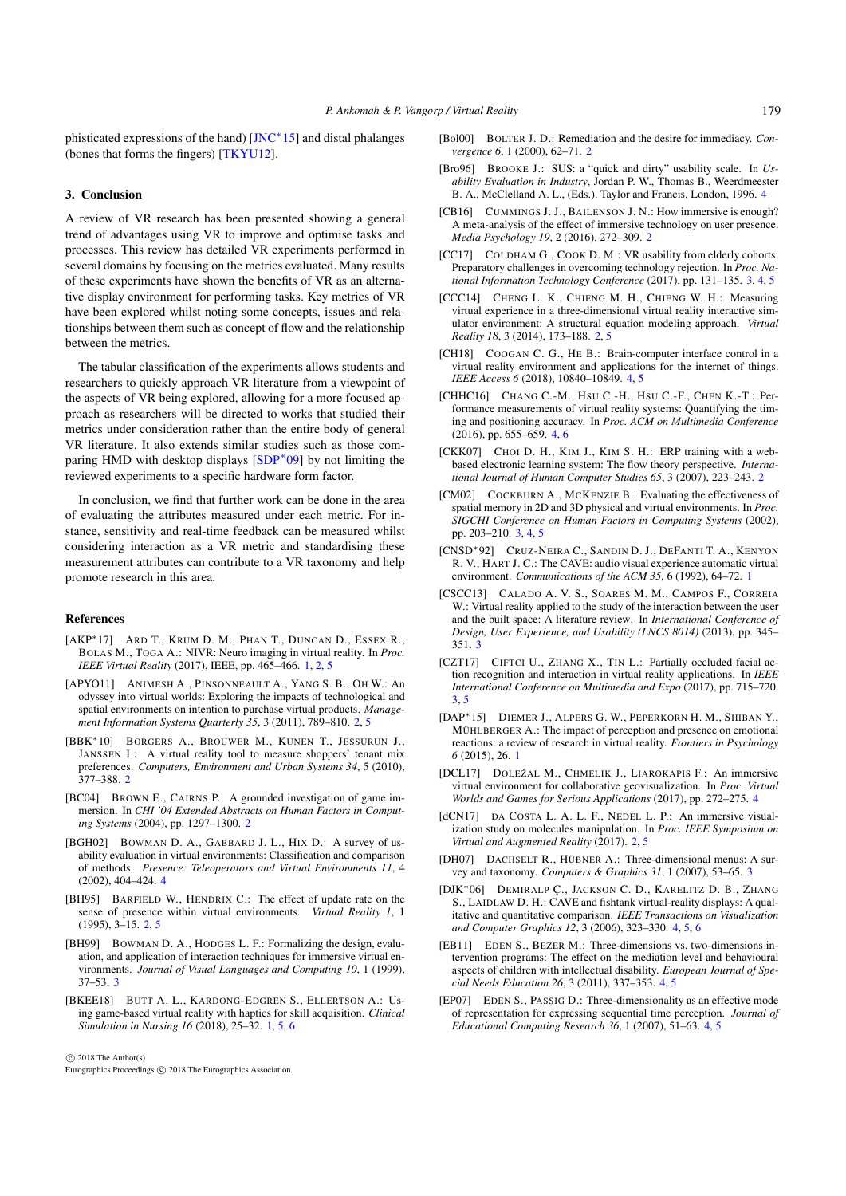<span id="page-6-27"></span>phisticated expressions of the hand) [\[JNC](#page-7-37)<sup>\*</sup>15] and distal phalanges (bones that forms the fingers) [\[TKYU12\]](#page-8-31).

# 3. Conclusion

A review of VR research has been presented showing a general trend of advantages using VR to improve and optimise tasks and processes. This review has detailed VR experiments performed in several domains by focusing on the metrics evaluated. Many results of these experiments have shown the benefits of VR as an alternative display environment for performing tasks. Key metrics of VR have been explored whilst noting some concepts, issues and relationships between them such as concept of flow and the relationship between the metrics.

The tabular classification of the experiments allows students and researchers to quickly approach VR literature from a viewpoint of the aspects of VR being explored, allowing for a more focused approach as researchers will be directed to works that studied their metrics under consideration rather than the entire body of general VR literature. It also extends similar studies such as those com-paring HMD with desktop displays [\[SDP](#page-8-17)<sup>\*</sup>09] by not limiting the reviewed experiments to a specific hardware form factor.

In conclusion, we find that further work can be done in the area of evaluating the attributes measured under each metric. For instance, sensitivity and real-time feedback can be measured whilst considering interaction as a VR metric and standardising these measurement attributes can contribute to a VR taxonomy and help promote research in this area.

## <span id="page-6-1"></span>References

- [AKP∗17] ARD T., KRUM D. M., PHAN T., DUNCAN D., ESSEX R., BOLAS M., TOGA A.: NIVR: Neuro imaging in virtual reality. In *Proc. IEEE Virtual Reality* (2017), IEEE, pp. 465–466. [1,](#page-0-0) [2,](#page-1-0) [5](#page-4-0)
- <span id="page-6-8"></span>[APYO11] ANIMESH A., PINSONNEAULT A., YANG S. B., OH W.: An odyssey into virtual worlds: Exploring the impacts of technological and spatial environments on intention to purchase virtual products. *Management Information Systems Quarterly 35*, 3 (2011), 789–810. [2,](#page-1-0) [5](#page-4-0)
- <span id="page-6-11"></span>[BBK∗10] BORGERS A., BROUWER M., KUNEN T., JESSURUN J., JANSSEN I.: A virtual reality tool to measure shoppers' tenant mix preferences. *Computers, Environment and Urban Systems 34*, 5 (2010), 377–388. [2](#page-1-0)
- <span id="page-6-10"></span>[BC04] BROWN E., CAIRNS P.: A grounded investigation of game immersion. In *CHI '04 Extended Abstracts on Human Factors in Computing Systems* (2004), pp. 1297–1300. [2](#page-1-0)
- <span id="page-6-21"></span>[BGH02] BOWMAN D. A., GABBARD J. L., HIX D.: A survey of usability evaluation in virtual environments: Classification and comparison of methods. *Presence: Teleoperators and Virtual Environments 11*, 4 (2002), 404–424. [4](#page-3-0)
- <span id="page-6-4"></span>[BH95] BARFIELD W., HENDRIX C.: The effect of update rate on the sense of presence within virtual environments. *Virtual Reality 1*, 1  $(1995), 3-15. 2, 5$  $(1995), 3-15. 2, 5$  $(1995), 3-15. 2, 5$  $(1995), 3-15. 2, 5$
- <span id="page-6-15"></span>[BH99] BOWMAN D. A., HODGES L. F.: Formalizing the design, evaluation, and application of interaction techniques for immersive virtual environments. *Journal of Visual Languages and Computing 10*, 1 (1999), 37–53. [3](#page-2-0)
- <span id="page-6-2"></span>[BKEE18] BUTT A. L., KARDONG-EDGREN S., ELLERTSON A.: Using game-based virtual reality with haptics for skill acquisition. *Clinical Simulation in Nursing 16* (2018), 25–32. [1,](#page-0-0) [5,](#page-4-0) [6](#page-5-0)

c 2018 The Author(s)

Eurographics Proceedings (C) 2018 The Eurographics Association.

- <span id="page-6-26"></span><span id="page-6-5"></span>[Bol00] BOLTER J. D.: Remediation and the desire for immediacy. *Convergence 6*, 1 (2000), 62–71. [2](#page-1-0)
- [Bro96] BROOKE J.: SUS: a "quick and dirty" usability scale. In *Usability Evaluation in Industry*, Jordan P. W., Thomas B., Weerdmeester B. A., McClelland A. L., (Eds.). Taylor and Francis, London, 1996. [4](#page-3-0)
- <span id="page-6-12"></span>[CB16] CUMMINGS J. J., BAILENSON J. N.: How immersive is enough? A meta-analysis of the effect of immersive technology on user presence. *Media Psychology 19*, 2 (2016), 272–309. [2](#page-1-0)
- <span id="page-6-14"></span>[CC17] COLDHAM G., COOK D. M.: VR usability from elderly cohorts: Preparatory challenges in overcoming technology rejection. In *Proc. National Information Technology Conference* (2017), pp. 131–135. [3,](#page-2-0) [4,](#page-3-0) [5](#page-4-0)
- <span id="page-6-9"></span>[CCC14] CHENG L. K., CHIENG M. H., CHIENG W. H.: Measuring virtual experience in a three-dimensional virtual reality interactive simulator environment: A structural equation modeling approach. *Virtual Reality 18*, 3 (2014), 173–188. [2,](#page-1-0) [5](#page-4-0)
- <span id="page-6-23"></span>[CH18] COOGAN C. G., HE B.: Brain-computer interface control in a virtual reality environment and applications for the internet of things. *IEEE Access 6* (2018), 10840–10849. [4,](#page-3-0) [5](#page-4-0)
- <span id="page-6-25"></span>[CHHC16] CHANG C.-M., HSU C.-H., HSU C.-F., CHEN K.-T.: Performance measurements of virtual reality systems: Quantifying the timing and positioning accuracy. In *Proc. ACM on Multimedia Conference* (2016), pp. 655–659. [4,](#page-3-0) [6](#page-5-0)
- <span id="page-6-7"></span>[CKK07] CHOI D. H., KIM J., KIM S. H.: ERP training with a webbased electronic learning system: The flow theory perspective. *International Journal of Human Computer Studies 65*, 3 (2007), 223–243. [2](#page-1-0)
- <span id="page-6-13"></span>[CM02] COCKBURN A., MCKENZIE B.: Evaluating the effectiveness of spatial memory in 2D and 3D physical and virtual environments. In *Proc. SIGCHI Conference on Human Factors in Computing Systems* (2002), pp. 203–210. [3,](#page-2-0) [4,](#page-3-0) [5](#page-4-0)
- <span id="page-6-0"></span>[CNSD∗92] CRUZ-NEIRA C., SANDIN D. J., DEFANTI T. A., KENYON R. V., HART J. C.: The CAVE: audio visual experience automatic virtual environment. *Communications of the ACM 35*, 6 (1992), 64–72. [1](#page-0-0)
- <span id="page-6-18"></span>[CSCC13] CALADO A. V. S., SOARES M. M., CAMPOS F., CORREIA W.: Virtual reality applied to the study of the interaction between the user and the built space: A literature review. In *International Conference of Design, User Experience, and Usability (LNCS 8014)* (2013), pp. 345– 351. [3](#page-2-0)
- <span id="page-6-16"></span>[CZT17] CIFTCI U., ZHANG X., TIN L.: Partially occluded facial action recognition and interaction in virtual reality applications. In *IEEE International Conference on Multimedia and Expo* (2017), pp. 715–720. [3,](#page-2-0) [5](#page-4-0)
- <span id="page-6-3"></span>[DAP∗15] DIEMER J., ALPERS G. W., PEPERKORN H. M., SHIBAN Y., MÜHLBERGER A.: The impact of perception and presence on emotional reactions: a review of research in virtual reality. *Frontiers in Psychology 6* (2015), 26. [1](#page-0-0)
- <span id="page-6-22"></span>[DCL17] DOLEŽAL M., CHMELIK J., LIAROKAPIS F.: An immersive virtual environment for collaborative geovisualization. In *Proc. Virtual Worlds and Games for Serious Applications* (2017), pp. 272–275. [4](#page-3-0)
- <span id="page-6-6"></span>[dCN17] DA COSTA L. A. L. F., NEDEL L. P.: An immersive visualization study on molecules manipulation. In *Proc. IEEE Symposium on Virtual and Augmented Reality* (2017). [2,](#page-1-0) [5](#page-4-0)
- <span id="page-6-24"></span><span id="page-6-17"></span>[DH07] DACHSELT R., HÜBNER A.: Three-dimensional menus: A survey and taxonomy. *Computers & Graphics 31*, 1 (2007), 53–65. [3](#page-2-0)
- [DJK∗06] DEMIRALP Ç., JACKSON C. D., KARELITZ D. B., ZHANG S., LAIDLAW D. H.: CAVE and fishtank virtual-reality displays: A qualitative and quantitative comparison. *IEEE Transactions on Visualization and Computer Graphics 12*, 3 (2006), 323–330. [4,](#page-3-0) [5,](#page-4-0) [6](#page-5-0)
- <span id="page-6-19"></span>[EB11] EDEN S., BEZER M.: Three-dimensions vs. two-dimensions intervention programs: The effect on the mediation level and behavioural aspects of children with intellectual disability. *European Journal of Special Needs Education 26*, 3 (2011), 337–353. [4,](#page-3-0) [5](#page-4-0)
- <span id="page-6-20"></span>[EP07] EDEN S., PASSIG D.: Three-dimensionality as an effective mode of representation for expressing sequential time perception. *Journal of Educational Computing Research 36*, 1 (2007), 51–63. [4,](#page-3-0) [5](#page-4-0)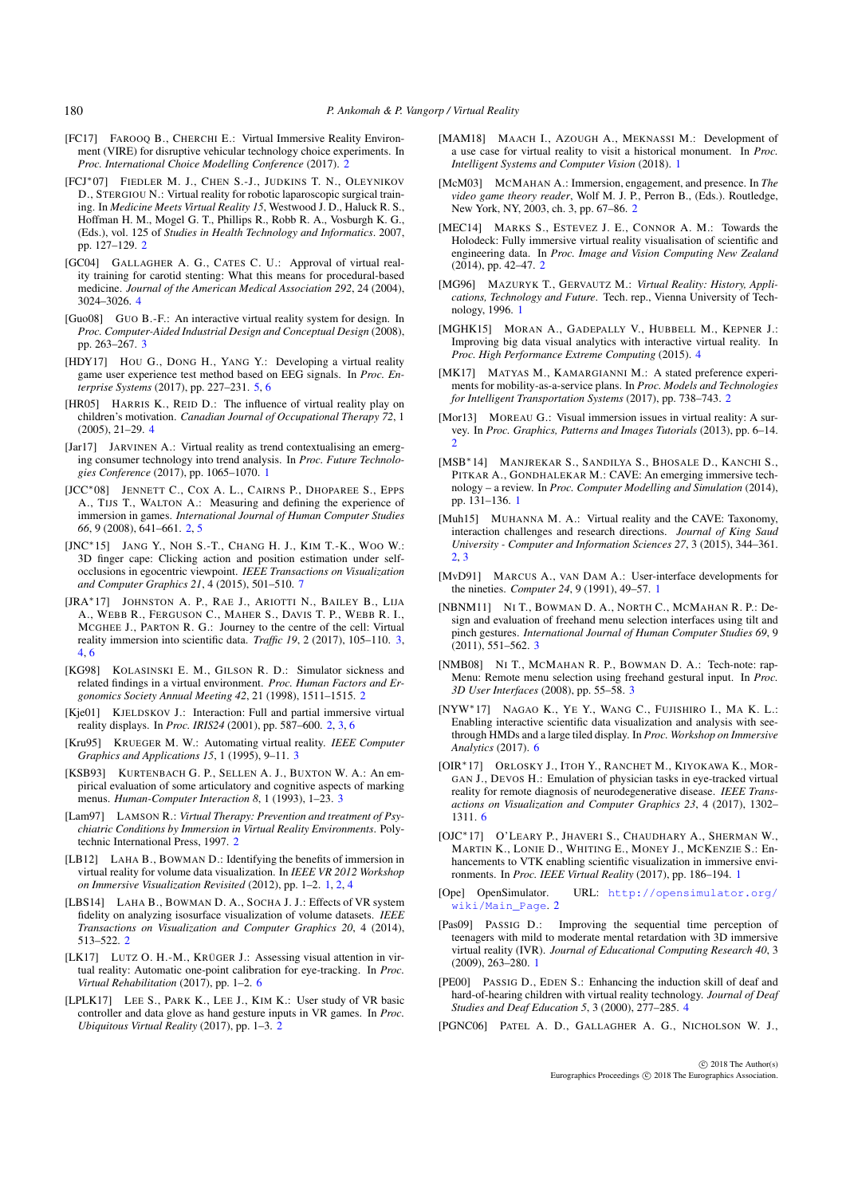- [FC17] FAROOQ B., CHERCHI E.: Virtual Immersive Reality Environment (VIRE) for disruptive vehicular technology choice experiments. In *Proc. International Choice Modelling Conference* (2017). [2](#page-1-0)
- <span id="page-7-21"></span>[FCJ∗07] FIEDLER M. J., CHEN S.-J., JUDKINS T. N., OLEYNIKOV D., STERGIOU N.: Virtual reality for robotic laparoscopic surgical training. In *Medicine Meets Virtual Reality 15*, Westwood J. D., Haluck R. S., Hoffman H. M., Mogel G. T., Phillips R., Robb R. A., Vosburgh K. G., (Eds.), vol. 125 of *Studies in Health Technology and Informatics*. 2007, pp. 127–129. [2](#page-1-0)
- <span id="page-7-32"></span>[GC04] GALLAGHER A. G., CATES C. U.: Approval of virtual reality training for carotid stenting: What this means for procedural-based medicine. *Journal of the American Medical Association 292*, 24 (2004), 3024–3026. [4](#page-3-0)
- <span id="page-7-27"></span>[Guo08] GUO B.-F.: An interactive virtual reality system for design. In *Proc. Computer-Aided Industrial Design and Conceptual Design* (2008), pp. 263–267. [3](#page-2-0)
- <span id="page-7-33"></span>[HDY17] HOU G., DONG H., YANG Y.: Developing a virtual reality game user experience test method based on EEG signals. In *Proc. Enterprise Systems* (2017), pp. 227–231. [5,](#page-4-0) [6](#page-5-0)
- <span id="page-7-29"></span>[HR05] HARRIS K., REID D.: The influence of virtual reality play on children's motivation. *Canadian Journal of Occupational Therapy 72*, 1 (2005), 21–29. [4](#page-3-0)
- <span id="page-7-4"></span>[Jar17] JARVINEN A.: Virtual reality as trend contextualising an emerging consumer technology into trend analysis. In *Proc. Future Technologies Conference* (2017), pp. 1065–1070. [1](#page-0-0)
- <span id="page-7-12"></span>[JCC∗08] JENNETT C., COX A. L., CAIRNS P., DHOPAREE S., EPPS A., TIJS T., WALTON A.: Measuring and defining the experience of immersion in games. *International Journal of Human Computer Studies 66*, 9 (2008), 641–661. [2,](#page-1-0) [5](#page-4-0)
- <span id="page-7-37"></span>[JNC∗15] JANG Y., NOH S.-T., CHANG H. J., KIM T.-K., WOO W.: 3D finger cape: Clicking action and position estimation under selfocclusions in egocentric viewpoint. *IEEE Transactions on Visualization and Computer Graphics 21*, 4 (2015), 501–510. [7](#page-6-27)
- <span id="page-7-22"></span>[JRA∗17] JOHNSTON A. P., RAE J., ARIOTTI N., BAILEY B., LIJA A., WEBB R., FERGUSON C., MAHER S., DAVIS T. P., WEBB R. I., MCGHEE J., PARTON R. G.: Journey to the centre of the cell: Virtual reality immersion into scientific data. *Traffic 19*, 2 (2017), 105–110. [3,](#page-2-0) [4,](#page-3-0) [6](#page-5-0)
- <span id="page-7-18"></span>[KG98] KOLASINSKI E. M., GILSON R. D.: Simulator sickness and related findings in a virtual environment. *Proc. Human Factors and Ergonomics Society Annual Meeting 42*, 21 (1998), 1511–1515. [2](#page-1-0)
- <span id="page-7-26"></span><span id="page-7-10"></span>[Kje01] KJELDSKOV J.: Interaction: Full and partial immersive virtual reality displays. In *Proc. IRIS24* (2001), pp. 587–600. [2,](#page-1-0) [3,](#page-2-0) [6](#page-5-0)
- <span id="page-7-23"></span>[Kru95] KRUEGER M. W.: Automating virtual reality. *IEEE Computer Graphics and Applications 15*, 1 (1995), 9–11. [3](#page-2-0)
- [KSB93] KURTENBACH G. P., SELLEN A. J., BUXTON W. A.: An empirical evaluation of some articulatory and cognitive aspects of marking menus. *Human-Computer Interaction 8*, 1 (1993), 1–23. [3](#page-2-0)
- <span id="page-7-20"></span>[Lam97] LAMSON R.: *Virtual Therapy: Prevention and treatment of Psychiatric Conditions by Immersion in Virtual Reality Environments*. Polytechnic International Press, 1997. [2](#page-1-0)
- <span id="page-7-6"></span>[LB12] LAHA B., BOWMAN D.: Identifying the benefits of immersion in virtual reality for volume data visualization. In *IEEE VR 2012 Workshop on Immersive Visualization Revisited* (2012), pp. 1–2. [1,](#page-0-0) [2,](#page-1-0) [4](#page-3-0)
- <span id="page-7-15"></span>[LBS14] LAHA B., BOWMAN D. A., SOCHA J. J.: Effects of VR system fidelity on analyzing isosurface visualization of volume datasets. *IEEE Transactions on Visualization and Computer Graphics 20*, 4 (2014), 513–522. [2](#page-1-0)
- <span id="page-7-36"></span>[LK17] LUTZ O. H.-M., KRÜGER J.: Assessing visual attention in virtual reality: Automatic one-point calibration for eye-tracking. In *Proc. Virtual Rehabilitation* (2017), pp. 1–2. [6](#page-5-0)
- <span id="page-7-9"></span>[LPLK17] LEE S., PARK K., LEE J., KIM K.: User study of VR basic controller and data glove as hand gesture inputs in VR games. In *Proc. Ubiquitous Virtual Reality* (2017), pp. 1–3. [2](#page-1-0)
- <span id="page-7-0"></span>[MAM18] MAACH I., AZOUGH A., MEKNASSI M.: Development of a use case for virtual reality to visit a historical monument. In *Proc. Intelligent Systems and Computer Vision* (2018). [1](#page-0-0)
- <span id="page-7-11"></span>[McM03] MCMAHAN A.: Immersion, engagement, and presence. In *The video game theory reader*, Wolf M. J. P., Perron B., (Eds.). Routledge, New York, NY, 2003, ch. 3, pp. 67–86. [2](#page-1-0)
- <span id="page-7-17"></span>[MEC14] MARKS S., ESTEVEZ J. E., CONNOR A. M.: Towards the Holodeck: Fully immersive virtual reality visualisation of scientific and engineering data. In *Proc. Image and Vision Computing New Zealand* (2014), pp. 42–47. [2](#page-1-0)
- <span id="page-7-1"></span>[MG96] MAZURYK T., GERVAUTZ M.: Virtual Reality: History, Appli*cations, Technology and Future*. Tech. rep., Vienna University of Technology, 1996. [1](#page-0-0)
- <span id="page-7-28"></span>[MGHK15] MORAN A., GADEPALLY V., HUBBELL M., KEPNER J.: Improving big data visual analytics with interactive virtual reality. In *Proc. High Performance Extreme Computing* (2015). [4](#page-3-0)
- <span id="page-7-13"></span>[MK17] MATYAS M., KAMARGIANNI M.: A stated preference experiments for mobility-as-a-service plans. In *Proc. Models and Technologies for Intelligent Transportation Systems* (2017), pp. 738–743. [2](#page-1-0)
- <span id="page-7-19"></span>[Mor13] MOREAU G.: Visual immersion issues in virtual reality: A survey. In *Proc. Graphics, Patterns and Images Tutorials* (2013), pp. 6–14. [2](#page-1-0)
- <span id="page-7-5"></span>[MSB∗14] MANJREKAR S., SANDILYA S., BHOSALE D., KANCHI S., PITKAR A., GONDHALEKAR M.: CAVE: An emerging immersive technology – a review. In *Proc. Computer Modelling and Simulation* (2014), pp. 131–136. [1](#page-0-0)
- <span id="page-7-16"></span>[Muh15] MUHANNA M. A.: Virtual reality and the CAVE: Taxonomy, interaction challenges and research directions. *Journal of King Saud University - Computer and Information Sciences 27*, 3 (2015), 344–361. [2,](#page-1-0) [3](#page-2-0)
- <span id="page-7-24"></span><span id="page-7-2"></span>[MvD91] MARCUS A., VAN DAM A.: User-interface developments for the nineties. *Computer 24*, 9 (1991), 49–57. [1](#page-0-0)
- [NBNM11] NI T., BOWMAN D. A., NORTH C., MCMAHAN R. P.: Design and evaluation of freehand menu selection interfaces using tilt and pinch gestures. *International Journal of Human Computer Studies 69*, 9  $(2011)$ , 551–562. [3](#page-2-0)
- <span id="page-7-25"></span>[NMB08] NI T., MCMAHAN R. P., BOWMAN D. A.: Tech-note: rap-Menu: Remote menu selection using freehand gestural input. In *Proc. 3D User Interfaces* (2008), pp. 55–58. [3](#page-2-0)
- <span id="page-7-34"></span>[NYW∗17] NAGAO K., Y<sup>E</sup> Y., WANG C., FUJISHIRO I., M<sup>A</sup> K. L.: Enabling interactive scientific data visualization and analysis with seethrough HMDs and a large tiled display. In *Proc. Workshop on Immersive Analytics* (2017). [6](#page-5-0)
- <span id="page-7-35"></span>[OIR∗17] ORLOSKY J., ITOH Y., RANCHET M., KIYOKAWA K., MOR-GAN J., DEVOS H.: Emulation of physician tasks in eye-tracked virtual reality for remote diagnosis of neurodegenerative disease. *IEEE Transactions on Visualization and Computer Graphics 23*, 4 (2017), 1302– 1311. [6](#page-5-0)
- <span id="page-7-3"></span>[OJC∗17] O'LEARY P., JHAVERI S., CHAUDHARY A., SHERMAN W., MARTIN K., LONIE D., WHITING E., MONEY J., MCKENZIE S.: Enhancements to VTK enabling scientific visualization in immersive environments. In *Proc. IEEE Virtual Reality* (2017), pp. 186–194. [1](#page-0-0)
- <span id="page-7-8"></span><span id="page-7-7"></span>[Ope] OpenSimulator. URL: [http://opensimulator.org/](http://opensimulator.org/wiki/Main_Page) viki/Main\_Page.[2](#page-1-0)
- [Pas09] PASSIG D.: Improving the sequential time perception of teenagers with mild to moderate mental retardation with 3D immersive virtual reality (IVR). *Journal of Educational Computing Research 40*, 3 (2009), 263–280. [1](#page-0-0)
- <span id="page-7-30"></span> $[PE00]$  PASSIG D., EDEN S.: Enhancing the induction skill of deaf and hard-of-hearing children with virtual reality technology. *Journal of Deaf Studies and Deaf Education 5*, 3 (2000), 277–285. [4](#page-3-0)
- <span id="page-7-31"></span>[PGNC06] PATEL A. D., GALLAGHER A. G., NICHOLSON W. J.,

<span id="page-7-14"></span>180